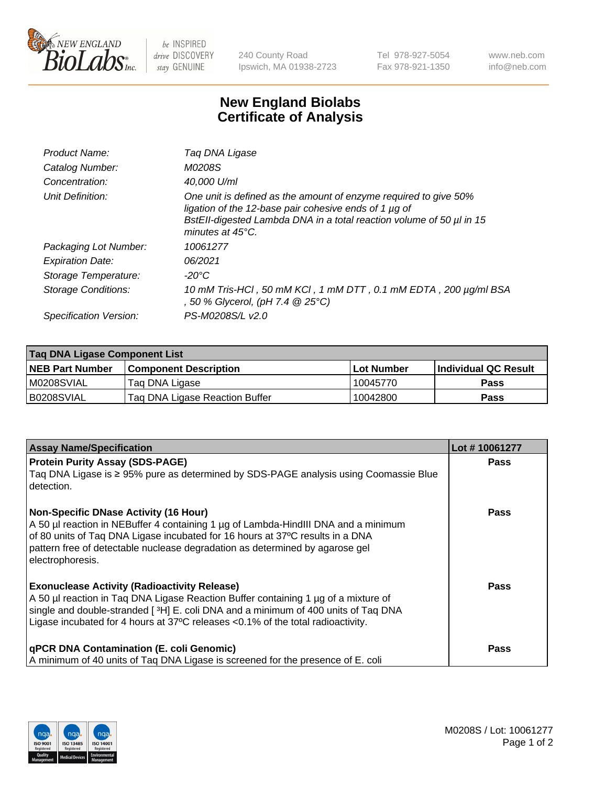

 $be$  INSPIRED drive DISCOVERY stay GENUINE

240 County Road Ipswich, MA 01938-2723 Tel 978-927-5054 Fax 978-921-1350 www.neb.com info@neb.com

## **New England Biolabs Certificate of Analysis**

| Product Name:              | Taq DNA Ligase                                                                                                                                                                                                                  |
|----------------------------|---------------------------------------------------------------------------------------------------------------------------------------------------------------------------------------------------------------------------------|
| Catalog Number:            | M0208S                                                                                                                                                                                                                          |
| Concentration:             | 40,000 U/ml                                                                                                                                                                                                                     |
| Unit Definition:           | One unit is defined as the amount of enzyme required to give 50%<br>ligation of the 12-base pair cohesive ends of 1 µg of<br>BstEll-digested Lambda DNA in a total reaction volume of 50 µl in 15<br>minutes at $45^{\circ}$ C. |
| Packaging Lot Number:      | 10061277                                                                                                                                                                                                                        |
| <b>Expiration Date:</b>    | 06/2021                                                                                                                                                                                                                         |
| Storage Temperature:       | -20°C                                                                                                                                                                                                                           |
| <b>Storage Conditions:</b> | 10 mM Tris-HCl, 50 mM KCl, 1 mM DTT, 0.1 mM EDTA, 200 µg/ml BSA<br>, 50 % Glycerol, (pH 7.4 @ 25°C)                                                                                                                             |
| Specification Version:     | PS-M0208S/L v2.0                                                                                                                                                                                                                |

| Taq DNA Ligase Component List |                                |                   |                      |  |
|-------------------------------|--------------------------------|-------------------|----------------------|--|
| NEB Part Number               | <b>Component Description</b>   | <b>Lot Number</b> | Individual QC Result |  |
| M0208SVIAL                    | Tag DNA Ligase                 | 10045770          | <b>Pass</b>          |  |
| B0208SVIAL                    | Tag DNA Ligase Reaction Buffer | 10042800          | <b>Pass</b>          |  |

| <b>Assay Name/Specification</b>                                                                                                                                                 | Lot #10061277 |
|---------------------------------------------------------------------------------------------------------------------------------------------------------------------------------|---------------|
| <b>Protein Purity Assay (SDS-PAGE)</b>                                                                                                                                          | <b>Pass</b>   |
| Taq DNA Ligase is ≥ 95% pure as determined by SDS-PAGE analysis using Coomassie Blue<br>detection.                                                                              |               |
| <b>Non-Specific DNase Activity (16 Hour)</b>                                                                                                                                    | <b>Pass</b>   |
| A 50 µl reaction in NEBuffer 4 containing 1 µg of Lambda-HindIII DNA and a minimum<br>of 80 units of Taq DNA Ligase incubated for 16 hours at 37°C results in a DNA             |               |
| pattern free of detectable nuclease degradation as determined by agarose gel                                                                                                    |               |
| electrophoresis.                                                                                                                                                                |               |
| <b>Exonuclease Activity (Radioactivity Release)</b>                                                                                                                             | <b>Pass</b>   |
| A 50 µl reaction in Tag DNA Ligase Reaction Buffer containing 1 µg of a mixture of                                                                                              |               |
| single and double-stranded [3H] E. coli DNA and a minimum of 400 units of Taq DNA<br>Ligase incubated for 4 hours at $37^{\circ}$ C releases < 0.1% of the total radioactivity. |               |
|                                                                                                                                                                                 |               |
| <b>qPCR DNA Contamination (E. coli Genomic)</b>                                                                                                                                 | Pass          |
| A minimum of 40 units of Taq DNA Ligase is screened for the presence of E. coli                                                                                                 |               |